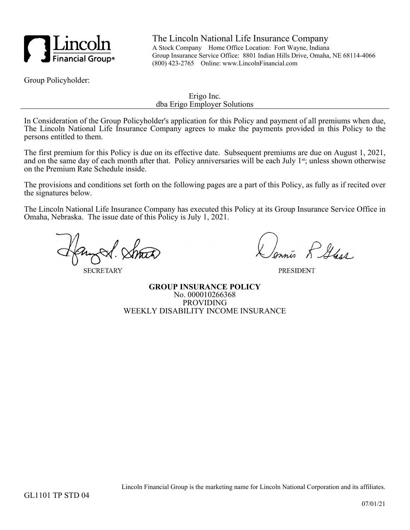

The Lincoln National Life Insurance Company A Stock Company Home Office Location: Fort Wayne, Indiana Group Insurance Service Office: 8801 Indian Hills Drive, Omaha, NE 68114-4066 (800) 423-2765 Online: www.LincolnFinancial.com

Group Policyholder:

Erigo Inc. dba Erigo Employer Solutions

In Consideration of the Group Policyholder's application for this Policy and payment of all premiums when due, The Lincoln National Life Insurance Company agrees to make the payments provided in this Policy to the persons entitled to them.

The first premium for this Policy is due on its effective date. Subsequent premiums are due on August 1, 2021, and on the same day of each month after that. Policy anniversaries will be each July 1<sup>st</sup>; unless shown otherwise on the Premium Rate Schedule inside.

The provisions and conditions set forth on the following pages are a part of this Policy, as fully as if recited over the signatures below.

The Lincoln National Life Insurance Company has executed this Policy at its Group Insurance Service Office in Omaha, Nebraska. The issue date of this Policy is July 1, 2021.

**SECRETARY** 

is RAGA

**PRESIDENT** 

**GROUP INSURANCE POLICY** No. 000010266368 PROVIDING WEEKLY DISABILITY INCOME INSURANCE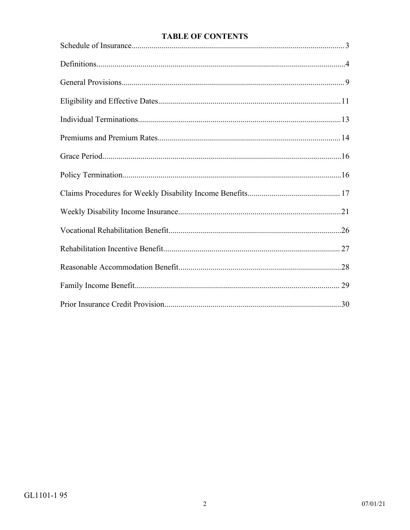# **TABLE OF CONTENTS**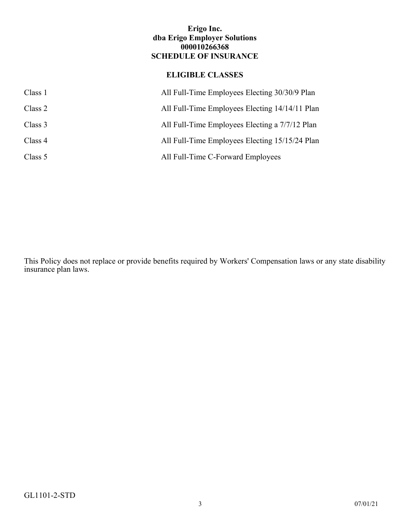## **Erigo Inc. dba Erigo Employer Solutions 000010266368 SCHEDULE OF INSURANCE**

# **ELIGIBLE CLASSES**

<span id="page-2-0"></span>

| Class 1 | All Full-Time Employees Electing 30/30/9 Plan  |
|---------|------------------------------------------------|
| Class 2 | All Full-Time Employees Electing 14/14/11 Plan |
| Class 3 | All Full-Time Employees Electing a 7/7/12 Plan |
| Class 4 | All Full-Time Employees Electing 15/15/24 Plan |
| Class 5 | All Full-Time C-Forward Employees              |

This Policy does not replace or provide benefits required by Workers' Compensation laws or any state disability insurance plan laws.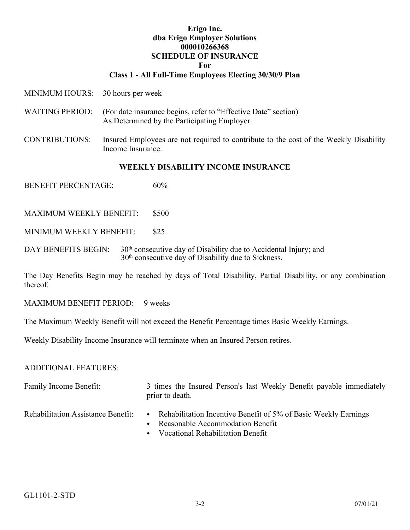## **Erigo Inc. dba Erigo Employer Solutions 000010266368 SCHEDULE OF INSURANCE For**

## **Class 1 - All Full-Time Employees Electing 30/30/9 Plan**

- MINIMUM HOURS: 30 hours per week
- WAITING PERIOD: (For date insurance begins, refer to "Effective Date" section) As Determined by the Participating Employer
- CONTRIBUTIONS: Insured Employees are not required to contribute to the cost of the Weekly Disability Income Insurance.

#### **WEEKLY DISABILITY INCOME INSURANCE**

BENEFIT PERCENTAGE: 60%

MAXIMUM WEEKLY BENEFIT: \$500

MINIMUM WEEKLY BENEFIT: \$25

DAY BENEFITS BEGIN: 30<sup>th</sup> consecutive day of Disability due to Accidental Injury; and 30th consecutive day of Disability due to Sickness.

The Day Benefits Begin may be reached by days of Total Disability, Partial Disability, or any combination thereof.

MAXIMUM BENEFIT PERIOD: 9 weeks

The Maximum Weekly Benefit will not exceed the Benefit Percentage times Basic Weekly Earnings.

Weekly Disability Income Insurance will terminate when an Insured Person retires.

#### ADDITIONAL FEATURES:

Family Income Benefit: 3 times the Insured Person's last Weekly Benefit payable immediately prior to death.

- Rehabilitation Assistance Benefit: Rehabilitation Incentive Benefit of 5% of Basic Weekly Earnings
	- Reasonable Accommodation Benefit
	- Vocational Rehabilitation Benefit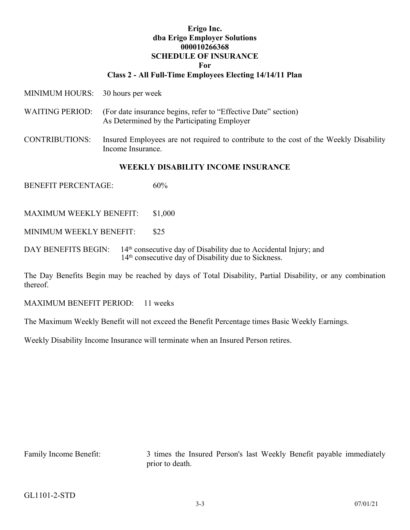#### **Erigo Inc. dba Erigo Employer Solutions 000010266368 SCHEDULE OF INSURANCE For**

#### **Class 2 - All Full-Time Employees Electing 14/14/11 Plan**

- MINIMUM HOURS: 30 hours per week
- WAITING PERIOD: (For date insurance begins, refer to "Effective Date" section) As Determined by the Participating Employer
- CONTRIBUTIONS: Insured Employees are not required to contribute to the cost of the Weekly Disability Income Insurance.

#### **WEEKLY DISABILITY INCOME INSURANCE**

BENEFIT PERCENTAGE: 60%

MAXIMUM WEEKLY BENEFIT: \$1,000

MINIMUM WEEKLY BENEFIT: \$25

DAY BENEFITS BEGIN: 14<sup>th</sup> consecutive day of Disability due to Accidental Injury; and 14th consecutive day of Disability due to Sickness.

The Day Benefits Begin may be reached by days of Total Disability, Partial Disability, or any combination thereof.

MAXIMUM BENEFIT PERIOD: 11 weeks

The Maximum Weekly Benefit will not exceed the Benefit Percentage times Basic Weekly Earnings.

Weekly Disability Income Insurance will terminate when an Insured Person retires.

Family Income Benefit: 3 times the Insured Person's last Weekly Benefit payable immediately prior to death.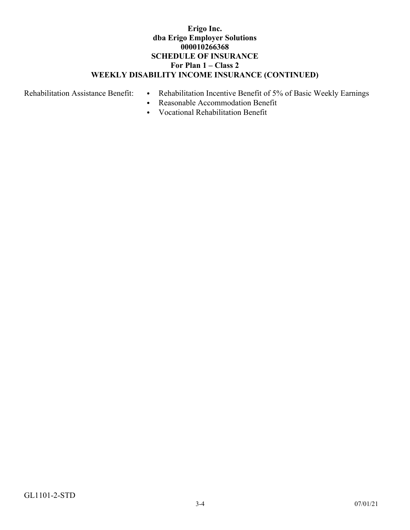## **Erigo Inc. dba Erigo Employer Solutions 000010266368 SCHEDULE OF INSURANCE For Plan 1 – Class 2 WEEKLY DISABILITY INCOME INSURANCE (CONTINUED)**

- Rehabilitation Assistance Benefit: Rehabilitation Incentive Benefit of 5% of Basic Weekly Earnings
	- Reasonable Accommodation Benefit
	- Vocational Rehabilitation Benefit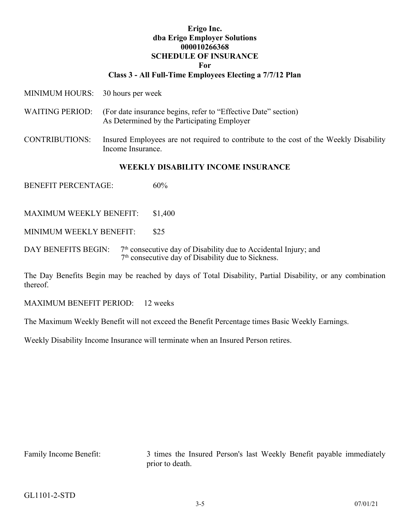#### **Erigo Inc. dba Erigo Employer Solutions 000010266368 SCHEDULE OF INSURANCE For**

#### **Class 3 - All Full-Time Employees Electing a 7/7/12 Plan**

- MINIMUM HOURS: 30 hours per week
- WAITING PERIOD: (For date insurance begins, refer to "Effective Date" section) As Determined by the Participating Employer
- CONTRIBUTIONS: Insured Employees are not required to contribute to the cost of the Weekly Disability Income Insurance.

#### **WEEKLY DISABILITY INCOME INSURANCE**

BENEFIT PERCENTAGE: 60%

MAXIMUM WEEKLY BENEFIT: \$1,400

MINIMUM WEEKLY BENEFIT: \$25

DAY BENEFITS BEGIN:  $7<sup>th</sup>$  consecutive day of Disability due to Accidental Injury; and 7 th consecutive day of Disability due to Sickness.

The Day Benefits Begin may be reached by days of Total Disability, Partial Disability, or any combination thereof.

MAXIMUM BENEFIT PERIOD: 12 weeks

The Maximum Weekly Benefit will not exceed the Benefit Percentage times Basic Weekly Earnings.

Weekly Disability Income Insurance will terminate when an Insured Person retires.

Family Income Benefit: 3 times the Insured Person's last Weekly Benefit payable immediately prior to death.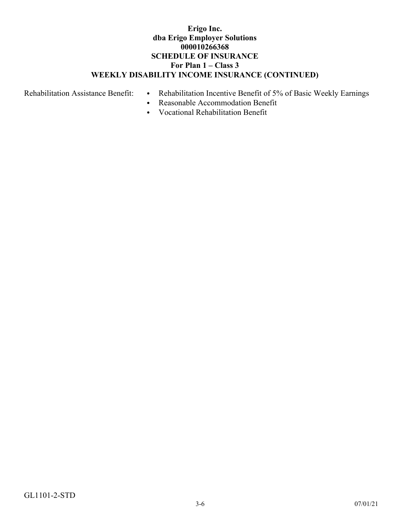## **Erigo Inc. dba Erigo Employer Solutions 000010266368 SCHEDULE OF INSURANCE For Plan 1 – Class 3 WEEKLY DISABILITY INCOME INSURANCE (CONTINUED)**

- Rehabilitation Assistance Benefit: Rehabilitation Incentive Benefit of 5% of Basic Weekly Earnings
	- Reasonable Accommodation Benefit
	- Vocational Rehabilitation Benefit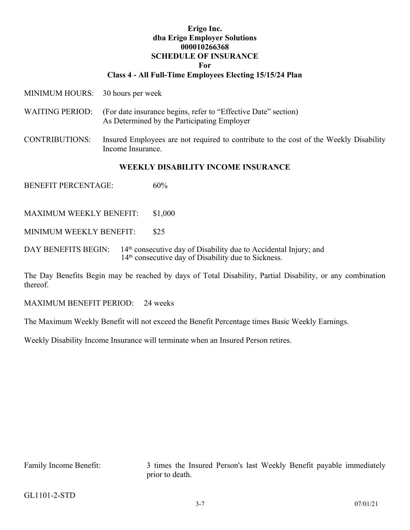#### **Erigo Inc. dba Erigo Employer Solutions 000010266368 SCHEDULE OF INSURANCE For**

#### **Class 4 - All Full-Time Employees Electing 15/15/24 Plan**

- MINIMUM HOURS: 30 hours per week
- WAITING PERIOD: (For date insurance begins, refer to "Effective Date" section) As Determined by the Participating Employer
- CONTRIBUTIONS: Insured Employees are not required to contribute to the cost of the Weekly Disability Income Insurance.

#### **WEEKLY DISABILITY INCOME INSURANCE**

BENEFIT PERCENTAGE: 60%

MAXIMUM WEEKLY BENEFIT: \$1,000

MINIMUM WEEKLY BENEFIT: \$25

DAY BENEFITS BEGIN: 14<sup>th</sup> consecutive day of Disability due to Accidental Injury; and 14th consecutive day of Disability due to Sickness.

The Day Benefits Begin may be reached by days of Total Disability, Partial Disability, or any combination thereof.

MAXIMUM BENEFIT PERIOD: 24 weeks

The Maximum Weekly Benefit will not exceed the Benefit Percentage times Basic Weekly Earnings.

Weekly Disability Income Insurance will terminate when an Insured Person retires.

Family Income Benefit: 3 times the Insured Person's last Weekly Benefit payable immediately prior to death.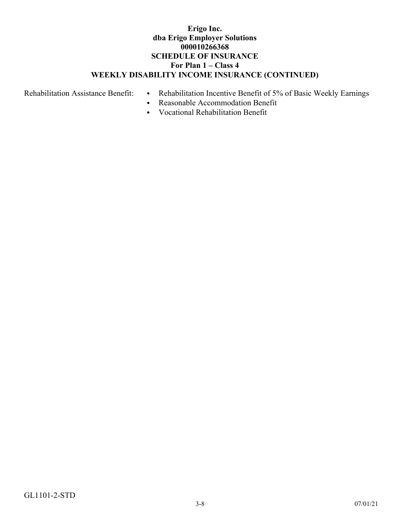## **Erigo Inc. dba Erigo Employer Solutions 000010266368 SCHEDULE OF INSURANCE For Plan 1 – Class 4 WEEKLY DISABILITY INCOME INSURANCE (CONTINUED)**

- Rehabilitation Assistance Benefit: Rehabilitation Incentive Benefit of 5% of Basic Weekly Earnings
	- Reasonable Accommodation Benefit
	- Vocational Rehabilitation Benefit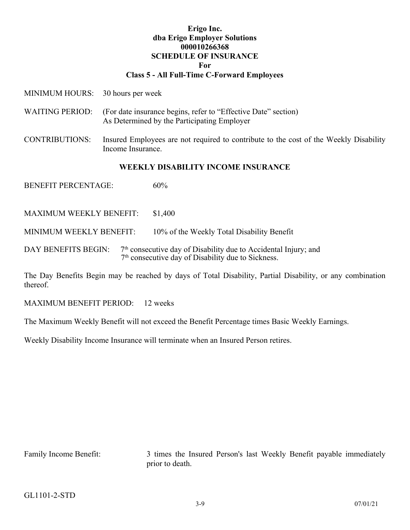# **Erigo Inc. dba Erigo Employer Solutions 000010266368 SCHEDULE OF INSURANCE For**

## **Class 5 - All Full-Time C-Forward Employees**

- MINIMUM HOURS: 30 hours per week
- WAITING PERIOD: (For date insurance begins, refer to "Effective Date" section) As Determined by the Participating Employer
- CONTRIBUTIONS: Insured Employees are not required to contribute to the cost of the Weekly Disability Income Insurance.

#### **WEEKLY DISABILITY INCOME INSURANCE**

BENEFIT PERCENTAGE: 60%

MAXIMUM WEEKLY BENEFIT: \$1,400

MINIMUM WEEKLY BENEFIT: 10% of the Weekly Total Disability Benefit

DAY BENEFITS BEGIN:  $7<sup>th</sup>$  consecutive day of Disability due to Accidental Injury; and 7 th consecutive day of Disability due to Sickness.

The Day Benefits Begin may be reached by days of Total Disability, Partial Disability, or any combination thereof.

MAXIMUM BENEFIT PERIOD: 12 weeks

The Maximum Weekly Benefit will not exceed the Benefit Percentage times Basic Weekly Earnings.

Weekly Disability Income Insurance will terminate when an Insured Person retires.

Family Income Benefit: 3 times the Insured Person's last Weekly Benefit payable immediately prior to death.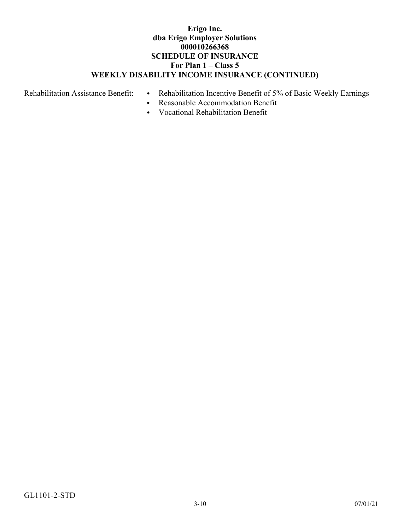## **Erigo Inc. dba Erigo Employer Solutions 000010266368 SCHEDULE OF INSURANCE For Plan 1 – Class 5 WEEKLY DISABILITY INCOME INSURANCE (CONTINUED)**

- Rehabilitation Assistance Benefit: Rehabilitation Incentive Benefit of 5% of Basic Weekly Earnings
	- Reasonable Accommodation Benefit
	- Vocational Rehabilitation Benefit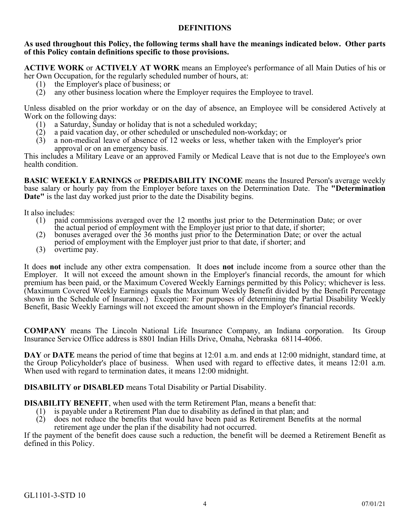## **DEFINITIONS**

#### <span id="page-12-0"></span>**As used throughout this Policy, the following terms shall have the meanings indicated below. Other parts of this Policy contain definitions specific to those provisions.**

**ACTIVE WORK** or **ACTIVELY AT WORK** means an Employee's performance of all Main Duties of his or her Own Occupation, for the regularly scheduled number of hours, at:

- (1) the Employer's place of business; or
- (2) any other business location where the Employer requires the Employee to travel.

Unless disabled on the prior workday or on the day of absence, an Employee will be considered Actively at Work on the following days:<br>(1) a Saturday, Sunday

- a Saturday, Sunday or holiday that is not a scheduled workday;
- (2) a paid vacation day, or other scheduled or unscheduled non-workday; or
- (3) a non-medical leave of absence of 12 weeks or less, whether taken with the Employer's prior approval or on an emergency basis.

This includes a Military Leave or an approved Family or Medical Leave that is not due to the Employee's own health condition.

**BASIC WEEKLY EARNINGS** or **PREDISABILITY INCOME** means the Insured Person's average weekly base salary or hourly pay from the Employer before taxes on the Determination Date. The **"Determination Date"** is the last day worked just prior to the date the Disability begins.

It also includes:<br>(1) paid co

- paid commissions averaged over the 12 months just prior to the Determination Date; or over the actual period of employment with the Employer just prior to that date, if shorter;
- (2) bonuses averaged over the 36 months just prior to the Determination Date; or over the actual
- period of employment with the Employer just prior to that date, if shorter; and
- (3) overtime pay.

It does **not** include any other extra compensation. It does **not** include income from a source other than the Employer. It will not exceed the amount shown in the Employer's financial records, the amount for which premium has been paid, or the Maximum Covered Weekly Earnings permitted by this Policy; whichever is less. (Maximum Covered Weekly Earnings equals the Maximum Weekly Benefit divided by the Benefit Percentage shown in the Schedule of Insurance.) Exception: For purposes of determining the Partial Disability Weekly Benefit, Basic Weekly Earnings will not exceed the amount shown in the Employer's financial records.

**COMPANY** means The Lincoln National Life Insurance Company, an Indiana corporation. Its Group Insurance Service Office address is 8801 Indian Hills Drive, Omaha, Nebraska 68114-4066.

**DAY** or **DATE** means the period of time that begins at 12:01 a.m. and ends at 12:00 midnight, standard time, at the Group Policyholder's place of business. When used with regard to effective dates, it means 12:01 a.m. When used with regard to termination dates, it means 12:00 midnight.

**DISABILITY or DISABLED** means Total Disability or Partial Disability.

**DISABILITY BENEFIT**, when used with the term Retirement Plan, means a benefit that:

- (1) is payable under a Retirement Plan due to disability as defined in that plan; and
- (2) does not reduce the benefits that would have been paid as Retirement Benefits at the normal retirement age under the plan if the disability had not occurred.

If the payment of the benefit does cause such a reduction, the benefit will be deemed a Retirement Benefit as defined in this Policy.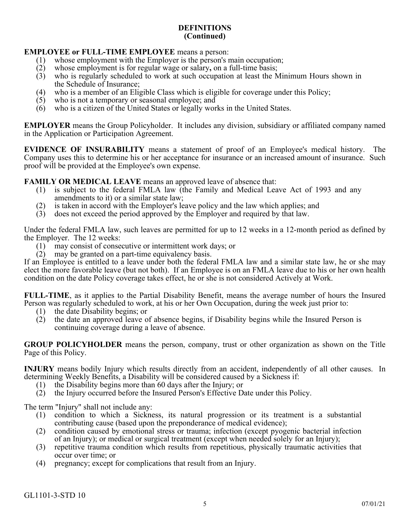## **EMPLOYEE or FULL-TIME EMPLOYEE** means a person:

- (1) whose employment with the Employer is the person's main occupation;<br>(2) whose employment is for regular wage or salary, on a full-time basis;
- whose employment is for regular wage or salary, on a full-time basis;
- (3) who is regularly scheduled to work at such occupation at least the Minimum Hours shown in the Schedule of Insurance;
- (4) who is a member of an Eligible Class which is eligible for coverage under this Policy;
- (5) who is not a temporary or seasonal employee; and
- (6) who is a citizen of the United States or legally works in the United States.

**EMPLOYER** means the Group Policyholder. It includes any division, subsidiary or affiliated company named in the Application or Participation Agreement.

**EVIDENCE OF INSURABILITY** means a statement of proof of an Employee's medical history. The Company uses this to determine his or her acceptance for insurance or an increased amount of insurance. Such proof will be provided at the Employee's own expense.

**FAMILY OR MEDICAL LEAVE** means an approved leave of absence that:

- (1) is subject to the federal FMLA law (the Family and Medical Leave Act of 1993 and any amendments to it) or a similar state law;
- (2) is taken in accord with the Employer's leave policy and the law which applies; and
- (3) does not exceed the period approved by the Employer and required by that law.

Under the federal FMLA law, such leaves are permitted for up to 12 weeks in a 12-month period as defined by the Employer. The 12 weeks:

- (1) may consist of consecutive or intermittent work days; or
- $(2)$  may be granted on a part-time equivalency basis.

If an Employee is entitled to a leave under both the federal FMLA law and a similar state law, he or she may elect the more favorable leave (but not both). If an Employee is on an FMLA leave due to his or her own health condition on the date Policy coverage takes effect, he or she is not considered Actively at Work.

**FULL-TIME**, as it applies to the Partial Disability Benefit, means the average number of hours the Insured Person was regularly scheduled to work, at his or her Own Occupation, during the week just prior to:

- (1) the date Disability begins; or
- (2) the date an approved leave of absence begins, if Disability begins while the Insured Person is continuing coverage during a leave of absence.

**GROUP POLICYHOLDER** means the person, company, trust or other organization as shown on the Title Page of this Policy.

**INJURY** means bodily Injury which results directly from an accident, independently of all other causes. In determining Weekly Benefits, a Disability will be considered caused by a Sickness if:

- (1) the Disability begins more than 60 days after the Injury; or
- (2) the Injury occurred before the Insured Person's Effective Date under this Policy.

The term "Injury" shall not include any:

- (1) condition to which a Sickness, its natural progression or its treatment is a substantial contributing cause (based upon the preponderance of medical evidence);
- (2) condition caused by emotional stress or trauma; infection (except pyogenic bacterial infection of an Injury); or medical or surgical treatment (except when needed solely for an Injury);
- (3) repetitive trauma condition which results from repetitious, physically traumatic activities that occur over time; or
- (4) pregnancy; except for complications that result from an Injury.

GL1101-3-STD 10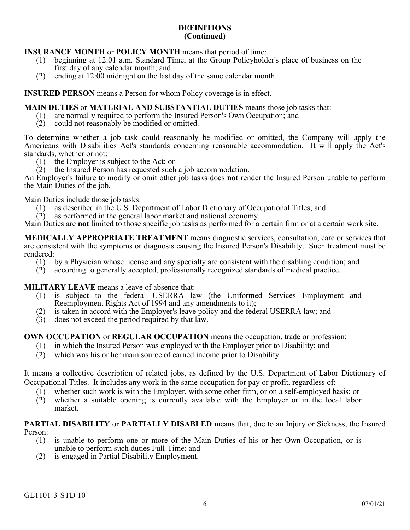## **INSURANCE MONTH** or **POLICY MONTH** means that period of time:

- (1) beginning at 12:01 a.m. Standard Time, at the Group Policyholder's place of business on the first day of any calendar month; and
- (2) ending at 12:00 midnight on the last day of the same calendar month.

**INSURED PERSON** means a Person for whom Policy coverage is in effect.

## **MAIN DUTIES** or **MATERIAL AND SUBSTANTIAL DUTIES** means those job tasks that:

- (1) are normally required to perform the Insured Person's Own Occupation; and
- (2) could not reasonably be modified or omitted.

To determine whether a job task could reasonably be modified or omitted, the Company will apply the Americans with Disabilities Act's standards concerning reasonable accommodation. It will apply the Act's standards, whether or not:

- (1) the Employer is subject to the Act; or
- (2) the Insured Person has requested such a job accommodation.

An Employer's failure to modify or omit other job tasks does **not** render the Insured Person unable to perform the Main Duties of the job.

Main Duties include those job tasks:

- (1) as described in the U.S. Department of Labor Dictionary of Occupational Titles; and
- (2) as performed in the general labor market and national economy.

Main Duties are **not** limited to those specific job tasks as performed for a certain firm or at a certain work site.

**MEDICALLY APPROPRIATE TREATMENT** means diagnostic services, consultation, care or services that are consistent with the symptoms or diagnosis causing the Insured Person's Disability. Such treatment must be rendered:

- (1) by a Physician whose license and any specialty are consistent with the disabling condition; and
- (2) according to generally accepted, professionally recognized standards of medical practice.

**MILITARY LEAVE** means a leave of absence that:

- (1) is subject to the federal USERRA law (the Uniformed Services Employment and Reemployment Rights Act of 1994 and any amendments to it);
- (2) is taken in accord with the Employer's leave policy and the federal USERRA law; and
- (3) does not exceed the period required by that law.

**OWN OCCUPATION** or **REGULAR OCCUPATION** means the occupation, trade or profession:

- (1) in which the Insured Person was employed with the Employer prior to Disability; and
- (2) which was his or her main source of earned income prior to Disability.

It means a collective description of related jobs, as defined by the U.S. Department of Labor Dictionary of Occupational Titles. It includes any work in the same occupation for pay or profit, regardless of:

- (1) whether such work is with the Employer, with some other firm, or on a self-employed basis; or
- (2) whether a suitable opening is currently available with the Employer or in the local labor market.

**PARTIAL DISABILITY** or **PARTIALLY DISABLED** means that, due to an Injury or Sickness, the Insured Person:<br> $(1)$ 

- is unable to perform one or more of the Main Duties of his or her Own Occupation, or is unable to perform such duties Full-Time; and
- (2) is engaged in Partial Disability Employment.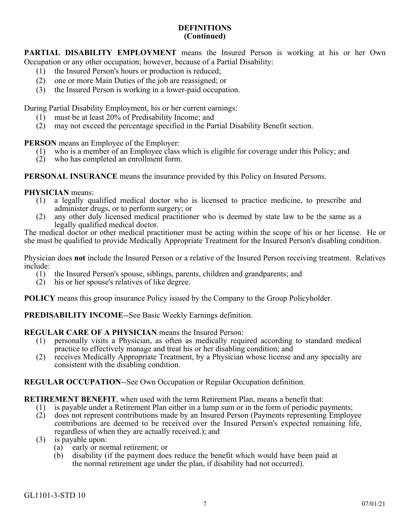**PARTIAL DISABILITY EMPLOYMENT** means the Insured Person is working at his or her Own Occupation or any other occupation; however, because of a Partial Disability:

- (1) the Insured Person's hours or production is reduced;
- (2) one or more Main Duties of the job are reassigned; or
- (3) the Insured Person is working in a lower-paid occupation.

During Partial Disability Employment, his or her current earnings:

- (1) must be at least 20% of Predisability Income; and
- (2) may not exceed the percentage specified in the Partial Disability Benefit section.

**PERSON** means an Employee of the Employer:

- (1) who is a member of an Employee class which is eligible for coverage under this Policy; and
- (2) who has completed an enrollment form.

**PERSONAL INSURANCE** means the insurance provided by this Policy on Insured Persons.

**PHYSICIAN** means:

- (1) a legally qualified medical doctor who is licensed to practice medicine, to prescribe and administer drugs, or to perform surgery; or
- (2) any other duly licensed medical practitioner who is deemed by state law to be the same as a legally qualified medical doctor.

The medical doctor or other medical practitioner must be acting within the scope of his or her license. He or she must be qualified to provide Medically Appropriate Treatment for the Insured Person's disabling condition.

Physician does **not** include the Insured Person or a relative of the Insured Person receiving treatment. Relatives include:

- (1) the Insured Person's spouse, siblings, parents, children and grandparents; and
- (2) his or her spouse's relatives of like degree.

**POLICY** means this group insurance Policy issued by the Company to the Group Policyholder.

**PREDISABILITY INCOME**--See Basic Weekly Earnings definition.

## **REGULAR CARE OF A PHYSICIAN** means the Insured Person:

- (1) personally visits a Physician, as often as medically required according to standard medical practice to effectively manage and treat his or her disabling condition; and
- (2) receives Medically Appropriate Treatment, by a Physician whose license and any specialty are consistent with the disabling condition.

## **REGULAR OCCUPATION**--See Own Occupation or Regular Occupation definition.

**RETIREMENT BENEFIT**, when used with the term Retirement Plan, means a benefit that:

- (1) is payable under a Retirement Plan either in a lump sum or in the form of periodic payments;
- (2) does not represent contributions made by an Insured Person (Payments representing Employee contributions are deemed to be received over the Insured Person's expected remaining life, regardless of when they are actually received.); and
- (3) is payable upon:
	- (a) early or normal retirement; or
	- (b) disability (if the payment does reduce the benefit which would have been paid at the normal retirement age under the plan, if disability had not occurred).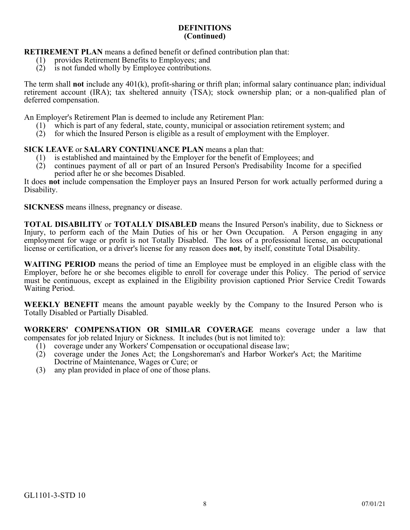**RETIREMENT PLAN** means a defined benefit or defined contribution plan that:

- (1) provides Retirement Benefits to Employees; and
- (2) is not funded wholly by Employee contributions.

The term shall **not** include any 401(k), profit-sharing or thrift plan; informal salary continuance plan; individual retirement account (IRA); tax sheltered annuity (TSA); stock ownership plan; or a non-qualified plan of deferred compensation.

An Employer's Retirement Plan is deemed to include any Retirement Plan:

- (1) which is part of any federal, state, county, municipal or association retirement system; and
- $(2)$  for which the Insured Person is eligible as a result of employment with the Employer.

# **SICK LEAVE** or **SALARY CONTINUANCE PLAN** means a plan that:<br>(1) is established and maintained by the Employer for the benefit of I

- 
- (1) is established and maintained by the Employer for the benefit of Employees; and (2) continues payment of all or part of an Insured Person's Predisability Income for a specified period after he or she becomes Disabled.

It does **not** include compensation the Employer pays an Insured Person for work actually performed during a Disability.

**SICKNESS** means illness, pregnancy or disease.

**TOTAL DISABILITY** or **TOTALLY DISABLED** means the Insured Person's inability, due to Sickness or Injury, to perform each of the Main Duties of his or her Own Occupation. A Person engaging in any employment for wage or profit is not Totally Disabled. The loss of a professional license, an occupational license or certification, or a driver's license for any reason does **not**, by itself, constitute Total Disability.

**WAITING PERIOD** means the period of time an Employee must be employed in an eligible class with the Employer, before he or she becomes eligible to enroll for coverage under this Policy. The period of service must be continuous, except as explained in the Eligibility provision captioned Prior Service Credit Towards Waiting Period.

**WEEKLY BENEFIT** means the amount payable weekly by the Company to the Insured Person who is Totally Disabled or Partially Disabled.

**WORKERS' COMPENSATION OR SIMILAR COVERAGE** means coverage under a law that compensates for job related Injury or Sickness. It includes (but is not limited to):

- (1) coverage under any Workers' Compensation or occupational disease law;
- (2) coverage under the Jones Act; the Longshoreman's and Harbor Worker's Act; the Maritime Doctrine of Maintenance, Wages or Cure; or
- (3) any plan provided in place of one of those plans.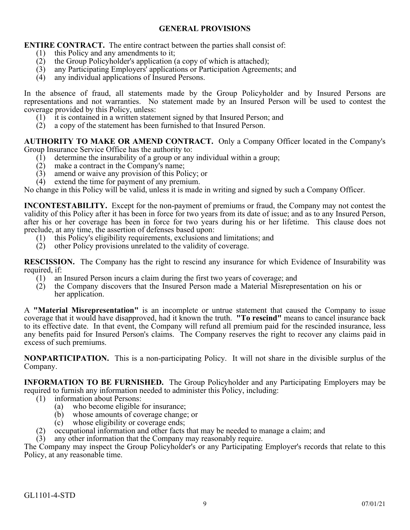## **GENERAL PROVISIONS**

<span id="page-17-0"></span>**ENTIRE CONTRACT.** The entire contract between the parties shall consist of:

- (1) this Policy and any amendments to it;
- (2) the Group Policyholder's application (a copy of which is attached);
- (3) any Participating Employers' applications or Participation Agreements; and (4) any individual applications of Insured Persons.
- any individual applications of Insured Persons.

In the absence of fraud, all statements made by the Group Policyholder and by Insured Persons are representations and not warranties. No statement made by an Insured Person will be used to contest the coverage provided by this Policy, unless:

- (1) it is contained in a written statement signed by that Insured Person; and
- (2) a copy of the statement has been furnished to that Insured Person.

**AUTHORITY TO MAKE OR AMEND CONTRACT.** Only a Company Officer located in the Company's Group Insurance Service Office has the authority to:

- (1) determine the insurability of a group or any individual within a group;<br>(2) make a contract in the Company's name;
- make a contract in the Company's name;
- (3) amend or waive any provision of this Policy; or
- (4) extend the time for payment of any premium.

No change in this Policy will be valid, unless it is made in writing and signed by such a Company Officer.

**INCONTESTABILITY.** Except for the non-payment of premiums or fraud, the Company may not contest the validity of this Policy after it has been in force for two years from its date of issue; and as to any Insured Person, after his or her coverage has been in force for two years during his or her lifetime. This clause does not preclude, at any time, the assertion of defenses based upon:

- (1) this Policy's eligibility requirements, exclusions and limitations; and
- (2) other Policy provisions unrelated to the validity of coverage.

**RESCISSION.** The Company has the right to rescind any insurance for which Evidence of Insurability was required, if:

- (1) an Insured Person incurs a claim during the first two years of coverage; and
- (2) the Company discovers that the Insured Person made a Material Misrepresentation on his or her application.

A **"Material Misrepresentation"** is an incomplete or untrue statement that caused the Company to issue coverage that it would have disapproved, had it known the truth. **"To rescind"** means to cancel insurance back to its effective date. In that event, the Company will refund all premium paid for the rescinded insurance, less any benefits paid for Insured Person's claims. The Company reserves the right to recover any claims paid in excess of such premiums.

**NONPARTICIPATION.** This is a non-participating Policy. It will not share in the divisible surplus of the Company.

**INFORMATION TO BE FURNISHED.** The Group Policyholder and any Participating Employers may be required to furnish any information needed to administer this Policy, including:

- (1) information about Persons:
	- (a) who become eligible for insurance;
	- (b) whose amounts of coverage change; or
	- (c) whose eligibility or coverage ends;
- (2) occupational information and other facts that may be needed to manage a claim; and
- (3) any other information that the Company may reasonably require.

The Company may inspect the Group Policyholder's or any Participating Employer's records that relate to this Policy, at any reasonable time.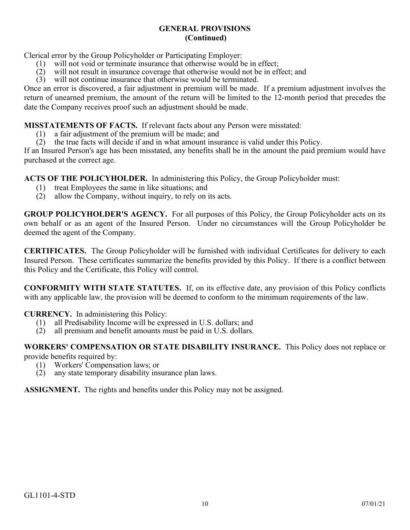## **GENERAL PROVISIONS (Continued)**

Clerical error by the Group Policyholder or Participating Employer:

- (1) will not void or terminate insurance that otherwise would be in effect;
- $(2)$  will not result in insurance coverage that otherwise would not be in effect; and
- (3) will not continue insurance that otherwise would be terminated.

Once an error is discovered, a fair adjustment in premium will be made. If a premium adjustment involves the return of unearned premium, the amount of the return will be limited to the 12-month period that precedes the date the Company receives proof such an adjustment should be made.

**MISSTATEMENTS OF FACTS.** If relevant facts about any Person were misstated:

- (1) a fair adjustment of the premium will be made; and
- (2) the true facts will decide if and in what amount insurance is valid under this Policy.

If an Insured Person's age has been misstated, any benefits shall be in the amount the paid premium would have purchased at the correct age.

**ACTS OF THE POLICYHOLDER.** In administering this Policy, the Group Policyholder must:

- (1) treat Employees the same in like situations; and
- (2) allow the Company, without inquiry, to rely on its acts.

**GROUP POLICYHOLDER'S AGENCY.** For all purposes of this Policy, the Group Policyholder acts on its own behalf or as an agent of the Insured Person. Under no circumstances will the Group Policyholder be deemed the agent of the Company.

**CERTIFICATES.** The Group Policyholder will be furnished with individual Certificates for delivery to each Insured Person. These certificates summarize the benefits provided by this Policy. If there is a conflict between this Policy and the Certificate, this Policy will control.

**CONFORMITY WITH STATE STATUTES.** If, on its effective date, any provision of this Policy conflicts with any applicable law, the provision will be deemed to conform to the minimum requirements of the law.

**CURRENCY.** In administering this Policy:

- (1) all Predisability Income will be expressed in U.S. dollars; and (2) all premium and benefit amounts must be paid in U.S. dollars.
- all premium and benefit amounts must be paid in U.S. dollars.

**WORKERS' COMPENSATION OR STATE DISABILITY INSURANCE.** This Policy does not replace or provide benefits required by:

- (1) Workers' Compensation laws; or<br>(2) any state temporary disability ins
- any state temporary disability insurance plan laws.

**ASSIGNMENT.** The rights and benefits under this Policy may not be assigned.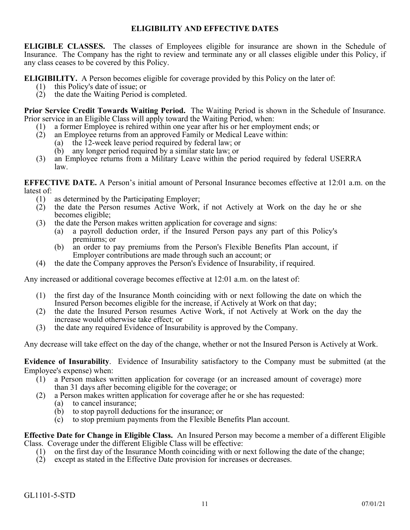## **ELIGIBILITY AND EFFECTIVE DATES**

<span id="page-19-0"></span>**ELIGIBLE CLASSES.** The classes of Employees eligible for insurance are shown in the Schedule of Insurance. The Company has the right to review and terminate any or all classes eligible under this Policy, if any class ceases to be covered by this Policy.

**ELIGIBILITY.** A Person becomes eligible for coverage provided by this Policy on the later of:

- (1) this Policy's date of issue; or
- (2) the date the Waiting Period is completed.

**Prior Service Credit Towards Waiting Period.** The Waiting Period is shown in the Schedule of Insurance. Prior service in an Eligible Class will apply toward the Waiting Period, when:

- (1) a former Employee is rehired within one year after his or her employment ends; or
- (2) an Employee returns from an approved Family or Medical Leave within:
	- (a) the 12-week leave period required by federal law; or
	- (b) any longer period required by a similar state law; or
- (3) an Employee returns from a Military Leave within the period required by federal USERRA law.

**EFFECTIVE DATE.** A Person's initial amount of Personal Insurance becomes effective at 12:01 a.m. on the latest of:

- 
- (1) as determined by the Participating Employer;<br>(2) the date the Person resumes Active Work, (2) the date the Person resumes Active Work, if not Actively at Work on the day he or she becomes eligible;
- (3) the date the Person makes written application for coverage and signs:
	- (a) a payroll deduction order, if the Insured Person pays any part of this Policy's premiums; or
	- (b) an order to pay premiums from the Person's Flexible Benefits Plan account, if Employer contributions are made through such an account; or
- (4) the date the Company approves the Person's Evidence of Insurability, if required.

Any increased or additional coverage becomes effective at 12:01 a.m. on the latest of:

- (1) the first day of the Insurance Month coinciding with or next following the date on which the Insured Person becomes eligible for the increase, if Actively at Work on that day;
- (2) the date the Insured Person resumes Active Work, if not Actively at Work on the day the increase would otherwise take effect; or
- (3) the date any required Evidence of Insurability is approved by the Company.

Any decrease will take effect on the day of the change, whether or not the Insured Person is Actively at Work.

**Evidence of Insurability**. Evidence of Insurability satisfactory to the Company must be submitted (at the Employee's expense) when:

- (1) a Person makes written application for coverage (or an increased amount of coverage) more than 31 days after becoming eligible for the coverage; or
- (2) a Person makes written application for coverage after he or she has requested:
	- to cancel insurance;
		- (b) to stop payroll deductions for the insurance; or
		- (c) to stop premium payments from the Flexible Benefits Plan account.

**Effective Date for Change in Eligible Class.** An Insured Person may become a member of a different Eligible Class. Coverage under the different Eligible Class will be effective:

- (1) on the first day of the Insurance Month coinciding with or next following the date of the change;
- (2) except as stated in the Effective Date provision for increases or decreases.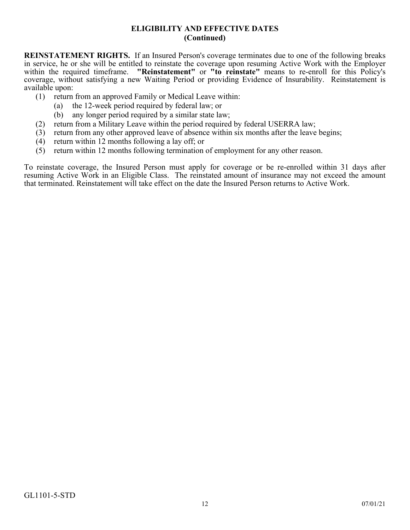## **ELIGIBILITY AND EFFECTIVE DATES (Continued)**

**REINSTATEMENT RIGHTS.** If an Insured Person's coverage terminates due to one of the following breaks in service, he or she will be entitled to reinstate the coverage upon resuming Active Work with the Employer within the required timeframe. **"Reinstatement"** or **"to reinstate"** means to re-enroll for this Policy's coverage, without satisfying a new Waiting Period or providing Evidence of Insurability. Reinstatement is available upon:

- (1) return from an approved Family or Medical Leave within:
	- (a) the 12-week period required by federal law; or
	- (b) any longer period required by a similar state law;
- (2) return from a Military Leave within the period required by federal USERRA law;
- (3) return from any other approved leave of absence within six months after the leave begins;
- (4) return within 12 months following a lay off; or
- (5) return within 12 months following termination of employment for any other reason.

To reinstate coverage, the Insured Person must apply for coverage or be re-enrolled within 31 days after resuming Active Work in an Eligible Class. The reinstated amount of insurance may not exceed the amount that terminated. Reinstatement will take effect on the date the Insured Person returns to Active Work.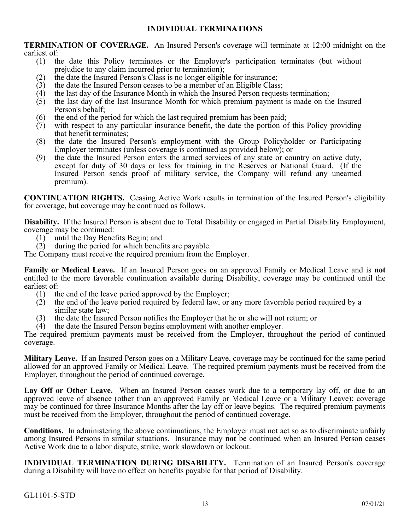## **INDIVIDUAL TERMINATIONS**

<span id="page-21-0"></span>**TERMINATION OF COVERAGE.** An Insured Person's coverage will terminate at 12:00 midnight on the earliest of:

- (1) the date this Policy terminates or the Employer's participation terminates (but without prejudice to any claim incurred prior to termination);
- (2) the date the Insured Person's Class is no longer eligible for insurance;
- (3) the date the Insured Person ceases to be a member of an Eligible Class;
- $(4)$  the last day of the Insurance Month in which the Insured Person requests termination;
- (5) the last day of the last Insurance Month for which premium payment is made on the Insured Person's behalf;
- (6) the end of the period for which the last required premium has been paid;
- (7) with respect to any particular insurance benefit, the date the portion of this Policy providing that benefit terminates;
- (8) the date the Insured Person's employment with the Group Policyholder or Participating Employer terminates (unless coverage is continued as provided below); or
- (9) the date the Insured Person enters the armed services of any state or country on active duty, except for duty of 30 days or less for training in the Reserves or National Guard. (If the Insured Person sends proof of military service, the Company will refund any unearned premium).

**CONTINUATION RIGHTS.** Ceasing Active Work results in termination of the Insured Person's eligibility for coverage, but coverage may be continued as follows.

**Disability.** If the Insured Person is absent due to Total Disability or engaged in Partial Disability Employment, coverage may be continued:

- (1) until the Day Benefits Begin; and
- (2) during the period for which benefits are payable.

The Company must receive the required premium from the Employer.

**Family or Medical Leave.** If an Insured Person goes on an approved Family or Medical Leave and is **not** entitled to the more favorable continuation available during Disability, coverage may be continued until the earliest of:

- (1) the end of the leave period approved by the Employer;
- (2) the end of the leave period required by federal law, or any more favorable period required by a similar state law;
- (3) the date the Insured Person notifies the Employer that he or she will not return; or
- (4) the date the Insured Person begins employment with another employer.

The required premium payments must be received from the Employer, throughout the period of continued coverage.

**Military Leave.** If an Insured Person goes on a Military Leave, coverage may be continued for the same period allowed for an approved Family or Medical Leave. The required premium payments must be received from the Employer, throughout the period of continued coverage.

**Lay Off or Other Leave.** When an Insured Person ceases work due to a temporary lay off, or due to an approved leave of absence (other than an approved Family or Medical Leave or a Military Leave); coverage may be continued for three Insurance Months after the lay off or leave begins. The required premium payments must be received from the Employer, throughout the period of continued coverage.

**Conditions.** In administering the above continuations, the Employer must not act so as to discriminate unfairly among Insured Persons in similar situations. Insurance may **not** be continued when an Insured Person ceases Active Work due to a labor dispute, strike, work slowdown or lockout.

**INDIVIDUAL TERMINATION DURING DISABILITY.** Termination of an Insured Person's coverage during a Disability will have no effect on benefits payable for that period of Disability.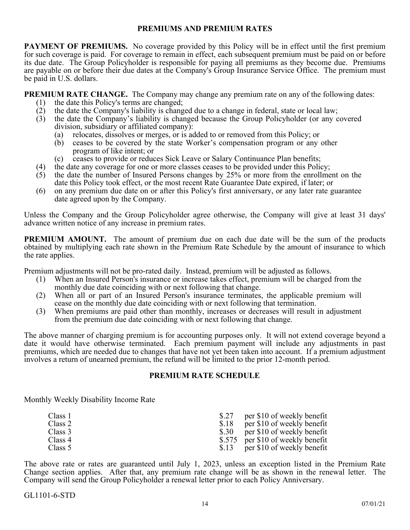#### **PREMIUMS AND PREMIUM RATES**

<span id="page-22-0"></span>**PAYMENT OF PREMIUMS.** No coverage provided by this Policy will be in effect until the first premium for such coverage is paid. For coverage to remain in effect, each subsequent premium must be paid on or before its due date. The Group Policyholder is responsible for paying all premiums as they become due. Premiums are payable on or before their due dates at the Company's Group Insurance Service Office. The premium must be paid in U.S. dollars.

**PREMIUM RATE CHANGE.** The Company may change any premium rate on any of the following dates:

- (1) the date this Policy's terms are changed;
- (2) the date the Company's liability is changed due to a change in federal, state or local law;
- (3) the date the Company's liability is changed because the Group Policyholder (or any covered division, subsidiary or affiliated company):
	- (a) relocates, dissolves or merges, or is added to or removed from this Policy; or
	- (b) ceases to be covered by the state Worker's compensation program or any other program of like intent; or
	- (c) ceases to provide or reduces Sick Leave or Salary Continuance Plan benefits;
- (4) the date any coverage for one or more classes ceases to be provided under this Policy;<br>(5) the date the number of Insured Persons changes by 25% or more from the enrollme
- the date the number of Insured Persons changes by 25% or more from the enrollment on the date this Policy took effect, or the most recent Rate Guarantee Date expired, if later; or
- (6) on any premium due date on or after this Policy's first anniversary, or any later rate guarantee date agreed upon by the Company.

Unless the Company and the Group Policyholder agree otherwise, the Company will give at least 31 days' advance written notice of any increase in premium rates.

**PREMIUM AMOUNT.** The amount of premium due on each due date will be the sum of the products obtained by multiplying each rate shown in the Premium Rate Schedule by the amount of insurance to which the rate applies.

Premium adjustments will not be pro-rated daily. Instead, premium will be adjusted as follows.

- (1) When an Insured Person's insurance or increase takes effect, premium will be charged from the monthly due date coinciding with or next following that change.
- (2) When all or part of an Insured Person's insurance terminates, the applicable premium will cease on the monthly due date coinciding with or next following that termination.
- (3) When premiums are paid other than monthly, increases or decreases will result in adjustment from the premium due date coinciding with or next following that change.

The above manner of charging premium is for accounting purposes only. It will not extend coverage beyond a date it would have otherwise terminated. Each premium payment will include any adjustments in past premiums, which are needed due to changes that have not yet been taken into account. If a premium adjustment involves a return of unearned premium, the refund will be limited to the prior 12-month period.

## **PREMIUM RATE SCHEDULE**

Monthly Weekly Disability Income Rate

| Class 1 |      | per \$10 of weekly benefit        |
|---------|------|-----------------------------------|
| Class 2 | \$18 | per \$10 of weekly benefit        |
| Class 3 |      | \$.30 per \$10 of weekly benefit  |
| Class 4 |      | \$.575 per \$10 of weekly benefit |
| Class 5 |      | \$.13 per \$10 of weekly benefit  |

The above rate or rates are guaranteed until July 1, 2023, unless an exception listed in the Premium Rate Change section applies. After that, any premium rate change will be as shown in the renewal letter. The Company will send the Group Policyholder a renewal letter prior to each Policy Anniversary.

GL1101-6-STD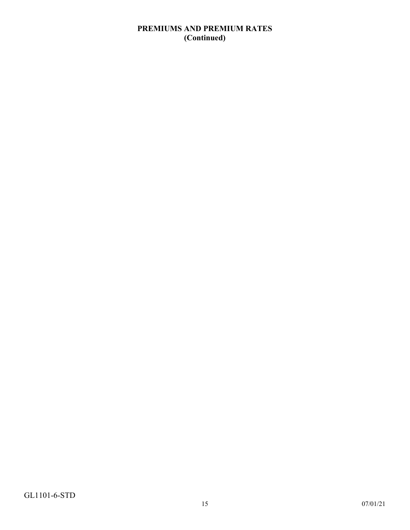## **PREMIUMS AND PREMIUM RATES (Continued)**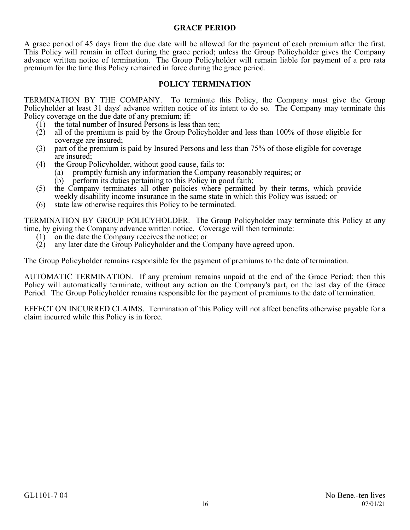#### **GRACE PERIOD**

<span id="page-24-0"></span>A grace period of 45 days from the due date will be allowed for the payment of each premium after the first. This Policy will remain in effect during the grace period; unless the Group Policyholder gives the Company advance written notice of termination. The Group Policyholder will remain liable for payment of a pro rata premium for the time this Policy remained in force during the grace period.

## **POLICY TERMINATION**

<span id="page-24-1"></span>TERMINATION BY THE COMPANY. To terminate this Policy, the Company must give the Group Policyholder at least 31 days' advance written notice of its intent to do so. The Company may terminate this Policy coverage on the due date of any premium; if:

- (1) the total number of Insured Persons is less than ten;
- (2) all of the premium is paid by the Group Policyholder and less than 100% of those eligible for coverage are insured;
- (3) part of the premium is paid by Insured Persons and less than 75% of those eligible for coverage are insured;
- (4) the Group Policyholder, without good cause, fails to:
	- (a) promptly furnish any information the Company reasonably requires; or
		- (b) perform its duties pertaining to this Policy in good faith;
- (5) the Company terminates all other policies where permitted by their terms, which provide weekly disability income insurance in the same state in which this Policy was issued; or
- (6) state law otherwise requires this Policy to be terminated.

TERMINATION BY GROUP POLICYHOLDER. The Group Policyholder may terminate this Policy at any time, by giving the Company advance written notice. Coverage will then terminate:

- (1) on the date the Company receives the notice; or
- (2) any later date the Group Policyholder and the Company have agreed upon.

The Group Policyholder remains responsible for the payment of premiums to the date of termination.

AUTOMATIC TERMINATION. If any premium remains unpaid at the end of the Grace Period; then this Policy will automatically terminate, without any action on the Company's part, on the last day of the Grace Period. The Group Policyholder remains responsible for the payment of premiums to the date of termination.

EFFECT ON INCURRED CLAIMS. Termination of this Policy will not affect benefits otherwise payable for a claim incurred while this Policy is in force.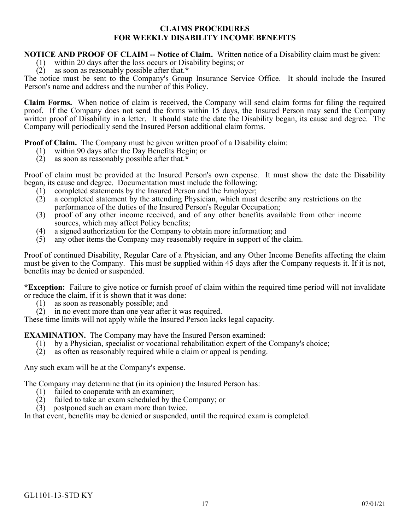## **CLAIMS PROCEDURES FOR WEEKLY DISABILITY INCOME BENEFITS**

#### <span id="page-25-0"></span>**NOTICE AND PROOF OF CLAIM -- Notice of Claim.** Written notice of a Disability claim must be given:

- (1) within 20 days after the loss occurs or Disability begins; or
- (2) as soon as reasonably possible after that.**\***

The notice must be sent to the Company's Group Insurance Service Office. It should include the Insured Person's name and address and the number of this Policy.

**Claim Forms.** When notice of claim is received, the Company will send claim forms for filing the required proof. If the Company does not send the forms within 15 days, the Insured Person may send the Company written proof of Disability in a letter. It should state the date the Disability began, its cause and degree. The Company will periodically send the Insured Person additional claim forms.

**Proof of Claim.** The Company must be given written proof of a Disability claim:

- (1) within 90 days after the Day Benefits Begin; or
- (2) as soon as reasonably possible after that.**\***

Proof of claim must be provided at the Insured Person's own expense. It must show the date the Disability began, its cause and degree. Documentation must include the following:

- (1) completed statements by the Insured Person and the Employer;
- (2) a completed statement by the attending Physician, which must describe any restrictions on the performance of the duties of the Insured Person's Regular Occupation;
- (3) proof of any other income received, and of any other benefits available from other income sources, which may affect Policy benefits;
- (4) a signed authorization for the Company to obtain more information; and
- (5) any other items the Company may reasonably require in support of the claim.

Proof of continued Disability, Regular Care of a Physician, and any Other Income Benefits affecting the claim must be given to the Company. This must be supplied within 45 days after the Company requests it. If it is not, benefits may be denied or suspended.

**\*Exception:** Failure to give notice or furnish proof of claim within the required time period will not invalidate or reduce the claim, if it is shown that it was done:

- (1) as soon as reasonably possible; and
- (2) in no event more than one year after it was required.

These time limits will not apply while the Insured Person lacks legal capacity.

**EXAMINATION.** The Company may have the Insured Person examined:

- (1) by a Physician, specialist or vocational rehabilitation expert of the Company's choice;
- (2) as often as reasonably required while a claim or appeal is pending.

Any such exam will be at the Company's expense.

The Company may determine that (in its opinion) the Insured Person has:

- (1) failed to cooperate with an examiner;
- (2) failed to take an exam scheduled by the Company; or
- (3) postponed such an exam more than twice.

In that event, benefits may be denied or suspended, until the required exam is completed.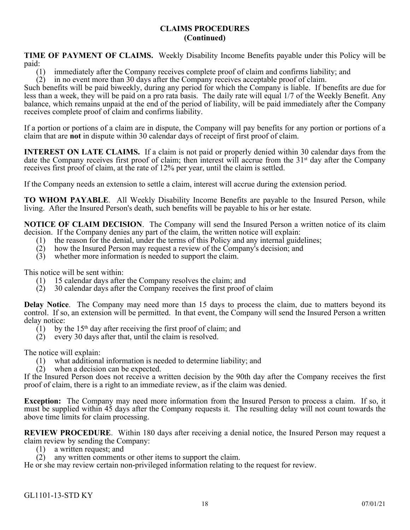## **CLAIMS PROCEDURES (Continued)**

**TIME OF PAYMENT OF CLAIMS.** Weekly Disability Income Benefits payable under this Policy will be paid:

(1) immediately after the Company receives complete proof of claim and confirms liability; and

(2) in no event more than 30 days after the Company receives acceptable proof of claim.

Such benefits will be paid biweekly, during any period for which the Company is liable. If benefits are due for less than a week, they will be paid on a pro rata basis. The daily rate will equal 1/7 of the Weekly Benefit. Any balance, which remains unpaid at the end of the period of liability, will be paid immediately after the Company receives complete proof of claim and confirms liability.

If a portion or portions of a claim are in dispute, the Company will pay benefits for any portion or portions of a claim that are **not** in dispute within 30 calendar days of receipt of first proof of claim.

**INTEREST ON LATE CLAIMS.** If a claim is not paid or properly denied within 30 calendar days from the date the Company receives first proof of claim; then interest will accrue from the 31<sup>st</sup> day after the Company receives first proof of claim, at the rate of 12% per year, until the claim is settled.

If the Company needs an extension to settle a claim, interest will accrue during the extension period.

**TO WHOM PAYABLE**. All Weekly Disability Income Benefits are payable to the Insured Person, while living. After the Insured Person's death, such benefits will be payable to his or her estate.

**NOTICE OF CLAIM DECISION**. The Company will send the Insured Person a written notice of its claim decision. If the Company denies any part of the claim, the written notice will explain:

- (1) the reason for the denial, under the terms of this Policy and any internal guidelines;
- (2) how the Insured Person may request a review of the Company's decision; and
- (3) whether more information is needed to support the claim.

This notice will be sent within:<br>(1) 15 calendar days after

- 15 calendar days after the Company resolves the claim; and
- (2) 30 calendar days after the Company receives the first proof of claim

**Delay Notice**. The Company may need more than 15 days to process the claim, due to matters beyond its control. If so, an extension will be permitted. In that event, the Company will send the Insured Person a written delay notice:

- $(1)$  by the 15<sup>th</sup> day after receiving the first proof of claim; and
- (2) every 30 days after that, until the claim is resolved.

The notice will explain:

- (1) what additional information is needed to determine liability; and
- (2) when a decision can be expected.

If the Insured Person does not receive a written decision by the 90th day after the Company receives the first proof of claim, there is a right to an immediate review, as if the claim was denied.

**Exception:** The Company may need more information from the Insured Person to process a claim. If so, it must be supplied within 45 days after the Company requests it. The resulting delay will not count towards the above time limits for claim processing.

**REVIEW PROCEDURE**. Within 180 days after receiving a denial notice, the Insured Person may request a claim review by sending the Company:

- (1) a written request; and
- $(2)$  any written comments or other items to support the claim.

He or she may review certain non-privileged information relating to the request for review.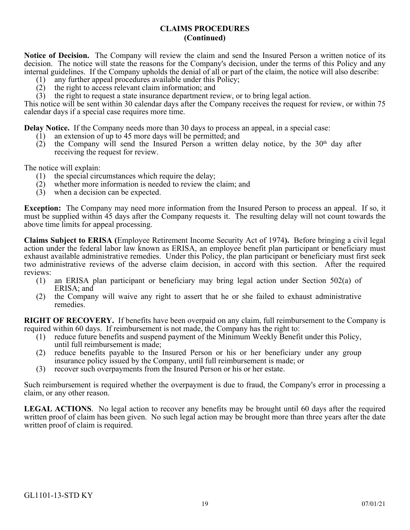## **CLAIMS PROCEDURES (Continued)**

**Notice of Decision.** The Company will review the claim and send the Insured Person a written notice of its decision. The notice will state the reasons for the Company's decision, under the terms of this Policy and any internal guidelines. If the Company upholds the denial of all or part of the claim, the notice will also describe:

- (1) any further appeal procedures available under this Policy;<br>(2) the right to access relevant claim information; and
- the right to access relevant claim information; and
- (3) the right to request a state insurance department review, or to bring legal action.

This notice will be sent within 30 calendar days after the Company receives the request for review, or within 75 calendar days if a special case requires more time.

**Delay Notice.** If the Company needs more than 30 days to process an appeal, in a special case:

- (1) an extension of up to 45 more days will be permitted; and (2) the Company will send the Insured Person a written
- the Company will send the Insured Person a written delay notice, by the 30<sup>th</sup> day after receiving the request for review.

The notice will explain:

- (1) the special circumstances which require the delay;
- (2) whether more information is needed to review the claim; and
- (3) when a decision can be expected.

**Exception:** The Company may need more information from the Insured Person to process an appeal. If so, it must be supplied within 45 days after the Company requests it. The resulting delay will not count towards the above time limits for appeal processing.

**Claims Subject to ERISA (**Employee Retirement Income Security Act of 1974**).** Before bringing a civil legal action under the federal labor law known as ERISA, an employee benefit plan participant or beneficiary must exhaust available administrative remedies. Under this Policy, the plan participant or beneficiary must first seek two administrative reviews of the adverse claim decision, in accord with this section. After the required reviews:

- (1) an ERISA plan participant or beneficiary may bring legal action under Section 502(a) of ERISA; and
- (2) the Company will waive any right to assert that he or she failed to exhaust administrative remedies.

**RIGHT OF RECOVERY.** If benefits have been overpaid on any claim, full reimbursement to the Company is required within 60 days. If reimbursement is not made, the Company has the right to:

- (1) reduce future benefits and suspend payment of the Minimum Weekly Benefit under this Policy, until full reimbursement is made;
- (2) reduce benefits payable to the Insured Person or his or her beneficiary under any group insurance policy issued by the Company, until full reimbursement is made; or
- (3) recover such overpayments from the Insured Person or his or her estate.

Such reimbursement is required whether the overpayment is due to fraud, the Company's error in processing a claim, or any other reason.

**LEGAL ACTIONS**. No legal action to recover any benefits may be brought until 60 days after the required written proof of claim has been given. No such legal action may be brought more than three years after the date written proof of claim is required.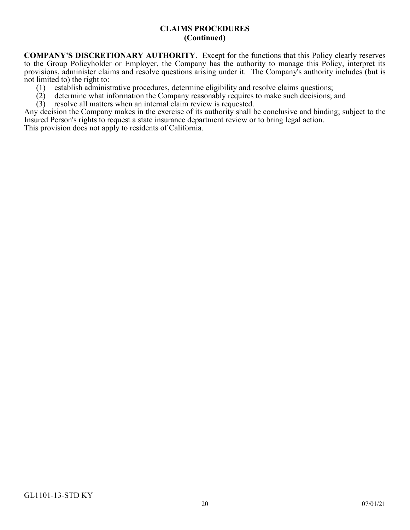## **CLAIMS PROCEDURES (Continued)**

**COMPANY'S DISCRETIONARY AUTHORITY**. Except for the functions that this Policy clearly reserves to the Group Policyholder or Employer, the Company has the authority to manage this Policy, interpret its provisions, administer claims and resolve questions arising under it. The Company's authority includes (but is not limited to) the right to:

- (1) establish administrative procedures, determine eligibility and resolve claims questions;
- determine what information the Company reasonably requires to make such decisions; and
- $(3)$  resolve all matters when an internal claim review is requested.

Any decision the Company makes in the exercise of its authority shall be conclusive and binding; subject to the Insured Person's rights to request a state insurance department review or to bring legal action.

This provision does not apply to residents of California.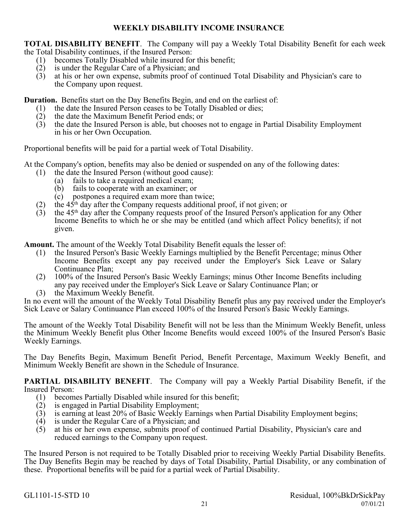## **WEEKLY DISABILITY INCOME INSURANCE**

<span id="page-29-0"></span>**TOTAL DISABILITY BENEFIT**. The Company will pay a Weekly Total Disability Benefit for each week the Total Disability continues, if the Insured Person:

- (1) becomes Totally Disabled while insured for this benefit;
- (2) is under the Regular Care of a Physician; and
- (3) at his or her own expense, submits proof of continued Total Disability and Physician's care to the Company upon request.

**Duration.** Benefits start on the Day Benefits Begin, and end on the earliest of:

- (1) the date the Insured Person ceases to be Totally Disabled or dies;
- (2) the date the Maximum Benefit Period ends; or
- (3) the date the Insured Person is able, but chooses not to engage in Partial Disability Employment in his or her Own Occupation.

Proportional benefits will be paid for a partial week of Total Disability.

At the Company's option, benefits may also be denied or suspended on any of the following dates:

- (1) the date the Insured Person (without good cause):
	- (a) fails to take a required medical exam;<br>(b) fails to cooperate with an examiner: o
	- fails to cooperate with an examiner; or
	- (c) postpones a required exam more than twice;
- (2) the  $45<sup>th</sup>$  day after the Company requests additional proof, if not given; or
- (3) the  $45<sup>th</sup>$  day after the Company requests proof of the Insured Person's application for any Other Income Benefits to which he or she may be entitled (and which affect Policy benefits); if not given.

**Amount.** The amount of the Weekly Total Disability Benefit equals the lesser of:

- (1) the Insured Person's Basic Weekly Earnings multiplied by the Benefit Percentage; minus Other Income Benefits except any pay received under the Employer's Sick Leave or Salary Continuance Plan;
- (2) 100% of the Insured Person's Basic Weekly Earnings; minus Other Income Benefits including any pay received under the Employer's Sick Leave or Salary Continuance Plan; or
- (3) the Maximum Weekly Benefit.

In no event will the amount of the Weekly Total Disability Benefit plus any pay received under the Employer's Sick Leave or Salary Continuance Plan exceed 100% of the Insured Person's Basic Weekly Earnings.

The amount of the Weekly Total Disability Benefit will not be less than the Minimum Weekly Benefit, unless the Minimum Weekly Benefit plus Other Income Benefits would exceed 100% of the Insured Person's Basic Weekly Earnings.

The Day Benefits Begin, Maximum Benefit Period, Benefit Percentage, Maximum Weekly Benefit, and Minimum Weekly Benefit are shown in the Schedule of Insurance.

**PARTIAL DISABILITY BENEFIT**. The Company will pay a Weekly Partial Disability Benefit, if the Insured Person:

- (1) becomes Partially Disabled while insured for this benefit;<br>(2) is engaged in Partial Disability Employment;
- is engaged in Partial Disability Employment;
- (3) is earning at least 20% of Basic Weekly Earnings when Partial Disability Employment begins;
- (4) is under the Regular Care of a Physician; and
- (5) at his or her own expense, submits proof of continued Partial Disability, Physician's care and reduced earnings to the Company upon request.

The Insured Person is not required to be Totally Disabled prior to receiving Weekly Partial Disability Benefits. The Day Benefits Begin may be reached by days of Total Disability, Partial Disability, or any combination of these. Proportional benefits will be paid for a partial week of Partial Disability.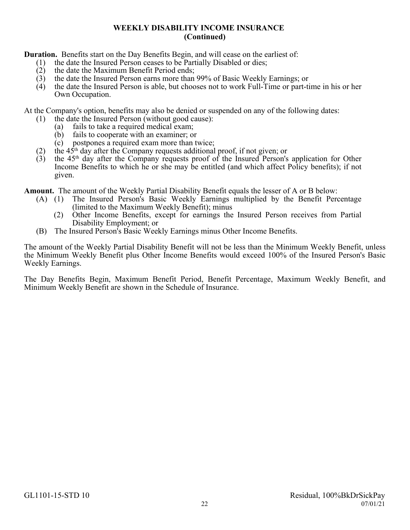**Duration.** Benefits start on the Day Benefits Begin, and will cease on the earliest of:

- (1) the date the Insured Person ceases to be Partially Disabled or dies;
- (2) the date the Maximum Benefit Period ends;
- (3) the date the Insured Person earns more than 99% of Basic Weekly Earnings; or
- (4) the date the Insured Person is able, but chooses not to work Full-Time or part-time in his or her Own Occupation.

At the Company's option, benefits may also be denied or suspended on any of the following dates:

- (1) the date the Insured Person (without good cause):
	- (a) fails to take a required medical exam;
	- (b) fails to cooperate with an examiner; or
	- (c) postpones a required exam more than twice;
- (2) the  $45<sup>th</sup>$  day after the Company requests additional proof, if not given; or
- $(3)$  the 45<sup>th</sup> day after the Company requests proof of the Insured Person's application for Other Income Benefits to which he or she may be entitled (and which affect Policy benefits); if not given.

**Amount.** The amount of the Weekly Partial Disability Benefit equals the lesser of A or B below:

- (A) (1) The Insured Person's Basic Weekly Earnings multiplied by the Benefit Percentage (limited to the Maximum Weekly Benefit); minus
	- (2) Other Income Benefits, except for earnings the Insured Person receives from Partial Disability Employment; or
- (B) The Insured Person's Basic Weekly Earnings minus Other Income Benefits.

The amount of the Weekly Partial Disability Benefit will not be less than the Minimum Weekly Benefit, unless the Minimum Weekly Benefit plus Other Income Benefits would exceed 100% of the Insured Person's Basic Weekly Earnings.

The Day Benefits Begin, Maximum Benefit Period, Benefit Percentage, Maximum Weekly Benefit, and Minimum Weekly Benefit are shown in the Schedule of Insurance.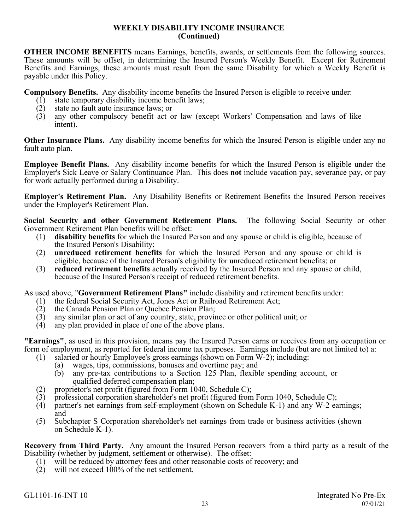**OTHER INCOME BENEFITS** means Earnings, benefits, awards, or settlements from the following sources. These amounts will be offset, in determining the Insured Person's Weekly Benefit. Except for Retirement Benefits and Earnings, these amounts must result from the same Disability for which a Weekly Benefit is payable under this Policy.

**Compulsory Benefits.** Any disability income benefits the Insured Person is eligible to receive under:

- (1) state temporary disability income benefit laws;<br>(2) state no fault auto insurance laws; or
- (2) state no fault auto insurance laws; or  $(3)$  any other compulsory benefit act of
- any other compulsory benefit act or law (except Workers' Compensation and laws of like intent).

**Other Insurance Plans.** Any disability income benefits for which the Insured Person is eligible under any no fault auto plan.

**Employee Benefit Plans.** Any disability income benefits for which the Insured Person is eligible under the Employer's Sick Leave or Salary Continuance Plan. This does **not** include vacation pay, severance pay, or pay for work actually performed during a Disability.

**Employer's Retirement Plan.** Any Disability Benefits or Retirement Benefits the Insured Person receives under the Employer's Retirement Plan.

**Social Security and other Government Retirement Plans.** The following Social Security or other Government Retirement Plan benefits will be offset:

- (1) **disability benefits** for which the Insured Person and any spouse or child is eligible, because of the Insured Person's Disability;
- (2) **unreduced retirement benefits** for which the Insured Person and any spouse or child is eligible, because of the Insured Person's eligibility for unreduced retirement benefits; or
- (3) **reduced retirement benefits** actually received by the Insured Person and any spouse or child, because of the Insured Person's receipt of reduced retirement benefits.

As used above, "**Government Retirement Plans"** include disability and retirement benefits under:

- (1) the federal Social Security Act, Jones Act or Railroad Retirement Act;
- (2) the Canada Pension Plan or Quebec Pension Plan;<br>(3) any similar plan or act of any country, state, provin
- (3) any similar plan or act of any country, state, province or other political unit; or
- (4) any plan provided in place of one of the above plans.

**"Earnings"**, as used in this provision, means pay the Insured Person earns or receives from any occupation or form of employment, as reported for federal income tax purposes. Earnings include (but are not limited to) a:

- (1) salaried or hourly Employee's gross earnings (shown on Form W-2); including:
	- (a) wages, tips, commissions, bonuses and overtime pay; and
	- (b) any pre-tax contributions to a Section 125 Plan, flexible spending account, or qualified deferred compensation plan;
- (2) proprietor's net profit (figured from Form 1040, Schedule C);
- (3) professional corporation shareholder's net profit (figured from Form 1040, Schedule C);<br>(4) partner's net earnings from self-employment (shown on Schedule K-1) and any W-2 ea
- (4) partner's net earnings from self-employment (shown on Schedule K-1) and any W-2 earnings; and
- (5) Subchapter S Corporation shareholder's net earnings from trade or business activities (shown on Schedule K-1).

**Recovery from Third Party.** Any amount the Insured Person recovers from a third party as a result of the Disability (whether by judgment, settlement or otherwise). The offset:

- (1) will be reduced by attorney fees and other reasonable costs of recovery; and
- (2) will not exceed 100% of the net settlement.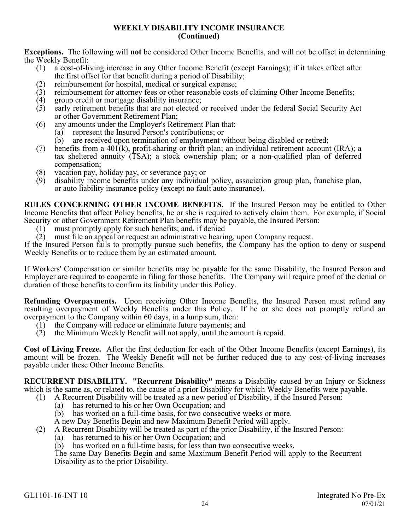**Exceptions.** The following will **not** be considered Other Income Benefits, and will not be offset in determining the Weekly Benefit:<br>(1)  $a \cos t$ -of-li

- (1) a cost-of-living increase in any Other Income Benefit (except Earnings); if it takes effect after the first offset for that benefit during a period of Disability;
- (2) reimbursement for hospital, medical or surgical expense;
- (3) reimbursement for attorney fees or other reasonable costs of claiming Other Income Benefits;
- (4) group credit or mortgage disability insurance;<br>(5) early retirement benefits that are not elected of
- early retirement benefits that are not elected or received under the federal Social Security Act or other Government Retirement Plan;
- (6) any amounts under the Employer's Retirement Plan that:
	- (a) represent the Insured Person's contributions; or
	- (b) are received upon termination of employment without being disabled or retired;
- (7) benefits from a 401(k), profit-sharing or thrift plan; an individual retirement account (IRA); a tax sheltered annuity (TSA); a stock ownership plan; or a non-qualified plan of deferred compensation;
- (8) vacation pay, holiday pay, or severance pay; or
- disability income benefits under any individual policy, association group plan, franchise plan, or auto liability insurance policy (except no fault auto insurance).

**RULES CONCERNING OTHER INCOME BENEFITS.** If the Insured Person may be entitled to Other Income Benefits that affect Policy benefits, he or she is required to actively claim them. For example, if Social Security or other Government Retirement Plan benefits may be payable, the Insured Person:

- (1) must promptly apply for such benefits; and, if denied
- (2) must file an appeal or request an administrative hearing, upon Company request.

If the Insured Person fails to promptly pursue such benefits, the Company has the option to deny or suspend Weekly Benefits or to reduce them by an estimated amount.

If Workers' Compensation or similar benefits may be payable for the same Disability, the Insured Person and Employer are required to cooperate in filing for those benefits. The Company will require proof of the denial or duration of those benefits to confirm its liability under this Policy.

**Refunding Overpayments.** Upon receiving Other Income Benefits, the Insured Person must refund any resulting overpayment of Weekly Benefits under this Policy. If he or she does not promptly refund an overpayment to the Company within 60 days, in a lump sum, then:

- (1) the Company will reduce or eliminate future payments; and
- (2) the Minimum Weekly Benefit will not apply, until the amount is repaid.

**Cost of Living Freeze.** After the first deduction for each of the Other Income Benefits (except Earnings), its amount will be frozen. The Weekly Benefit will not be further reduced due to any cost-of-living increases payable under these Other Income Benefits.

**RECURRENT DISABILITY. "Recurrent Disability"** means a Disability caused by an Injury or Sickness which is the same as, or related to, the cause of a prior Disability for which Weekly Benefits were payable.

- (1) A Recurrent Disability will be treated as a new period of Disability, if the Insured Person:
	- (a) has returned to his or her Own Occupation; and
	- (b) has worked on a full-time basis, for two consecutive weeks or more.
	- A new Day Benefits Begin and new Maximum Benefit Period will apply.
- (2) A Recurrent Disability will be treated as part of the prior Disability, if the Insured Person:
	- (a) has returned to his or her Own Occupation; and
	- (b) has worked on a full-time basis, for less than two consecutive weeks.

The same Day Benefits Begin and same Maximum Benefit Period will apply to the Recurrent Disability as to the prior Disability.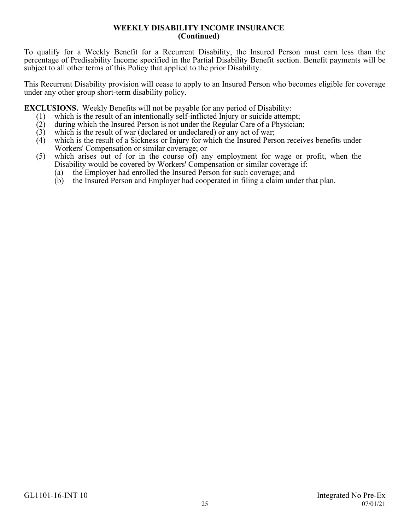To qualify for a Weekly Benefit for a Recurrent Disability, the Insured Person must earn less than the percentage of Predisability Income specified in the Partial Disability Benefit section. Benefit payments will be subject to all other terms of this Policy that applied to the prior Disability.

This Recurrent Disability provision will cease to apply to an Insured Person who becomes eligible for coverage under any other group short-term disability policy.

**EXCLUSIONS.** Weekly Benefits will not be payable for any period of Disability:

- (1) which is the result of an intentionally self-inflicted Injury or suicide attempt;
- (2) during which the Insured Person is not under the Regular Care of a Physician;
- (3) which is the result of war (declared or undeclared) or any act of war;<br>(4) which is the result of a Sickness or Injury for which the Insured Pers
- which is the result of a Sickness or Injury for which the Insured Person receives benefits under Workers' Compensation or similar coverage; or
- (5) which arises out of (or in the course of) any employment for wage or profit, when the Disability would be covered by Workers' Compensation or similar coverage if:
	- (a) the Employer had enrolled the Insured Person for such coverage; and
	- (b) the Insured Person and Employer had cooperated in filing a claim under that plan.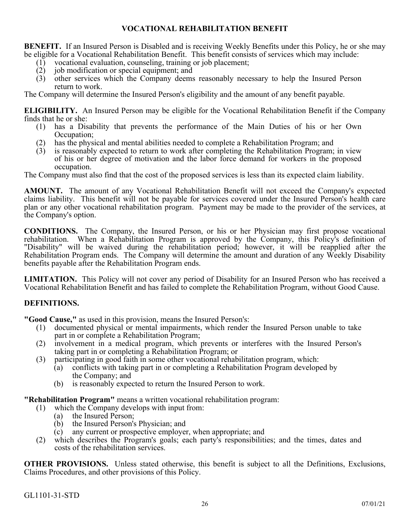## **VOCATIONAL REHABILITATION BENEFIT**

<span id="page-34-0"></span>**BENEFIT.** If an Insured Person is Disabled and is receiving Weekly Benefits under this Policy, he or she may be eligible for a Vocational Rehabilitation Benefit. This benefit consists of services which may include:

- (1) vocational evaluation, counseling, training or job placement;
- (2) job modification or special equipment; and
- (3) other services which the Company deems reasonably necessary to help the Insured Person return to work.

The Company will determine the Insured Person's eligibility and the amount of any benefit payable.

**ELIGIBILITY.** An Insured Person may be eligible for the Vocational Rehabilitation Benefit if the Company finds that he or she:

- (1) has a Disability that prevents the performance of the Main Duties of his or her Own Occupation;
- (2) has the physical and mental abilities needed to complete a Rehabilitation Program; and (3) is reasonably expected to return to work after completing the Rehabilitation Program;
- is reasonably expected to return to work after completing the Rehabilitation Program; in view of his or her degree of motivation and the labor force demand for workers in the proposed occupation.

The Company must also find that the cost of the proposed services is less than its expected claim liability.

**AMOUNT.** The amount of any Vocational Rehabilitation Benefit will not exceed the Company's expected claims liability. This benefit will not be payable for services covered under the Insured Person's health care plan or any other vocational rehabilitation program. Payment may be made to the provider of the services, at the Company's option.

**CONDITIONS.** The Company, the Insured Person, or his or her Physician may first propose vocational rehabilitation. When a Rehabilitation Program is approved by the Company, this Policy's definition of "Disability" will be waived during the rehabilitation period; however, it will be reapplied after the Rehabilitation Program ends. The Company will determine the amount and duration of any Weekly Disability benefits payable after the Rehabilitation Program ends.

**LIMITATION.** This Policy will not cover any period of Disability for an Insured Person who has received a Vocational Rehabilitation Benefit and has failed to complete the Rehabilitation Program, without Good Cause.

## **DEFINITIONS.**

**"Good Cause,"** as used in this provision, means the Insured Person's:

- (1) documented physical or mental impairments, which render the Insured Person unable to take part in or complete a Rehabilitation Program;
- (2) involvement in a medical program, which prevents or interferes with the Insured Person's taking part in or completing a Rehabilitation Program; or
- (3) participating in good faith in some other vocational rehabilitation program, which:
	- (a) conflicts with taking part in or completing a Rehabilitation Program developed by the Company; and
	- (b) is reasonably expected to return the Insured Person to work.

**"Rehabilitation Program"** means a written vocational rehabilitation program:

- (1) which the Company develops with input from:
	- (a) the Insured Person;
	- (b) the Insured Person's Physician; and
	- (c) any current or prospective employer, when appropriate; and
- (2) which describes the Program's goals; each party's responsibilities; and the times, dates and costs of the rehabilitation services.

**OTHER PROVISIONS.** Unless stated otherwise, this benefit is subject to all the Definitions, Exclusions, Claims Procedures, and other provisions of this Policy.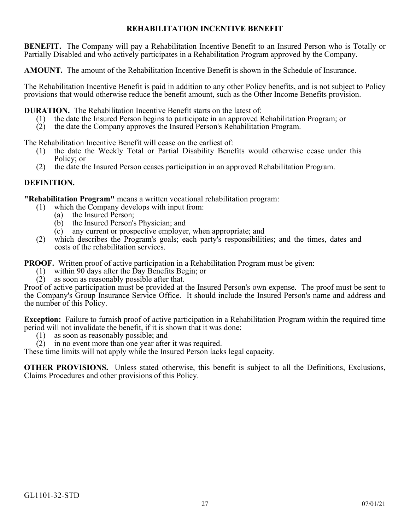## **REHABILITATION INCENTIVE BENEFIT**

<span id="page-35-0"></span>**BENEFIT.** The Company will pay a Rehabilitation Incentive Benefit to an Insured Person who is Totally or Partially Disabled and who actively participates in a Rehabilitation Program approved by the Company.

**AMOUNT.** The amount of the Rehabilitation Incentive Benefit is shown in the Schedule of Insurance.

The Rehabilitation Incentive Benefit is paid in addition to any other Policy benefits, and is not subject to Policy provisions that would otherwise reduce the benefit amount, such as the Other Income Benefits provision.

**DURATION.** The Rehabilitation Incentive Benefit starts on the latest of:

- (1) the date the Insured Person begins to participate in an approved Rehabilitation Program; or
- (2) the date the Company approves the Insured Person's Rehabilitation Program.

The Rehabilitation Incentive Benefit will cease on the earliest of:

- (1) the date the Weekly Total or Partial Disability Benefits would otherwise cease under this Policy; or
- (2) the date the Insured Person ceases participation in an approved Rehabilitation Program.

## **DEFINITION.**

**"Rehabilitation Program"** means a written vocational rehabilitation program:

- (1) which the Company develops with input from:
	- (a) the Insured Person;
		- (b) the Insured Person's Physician; and
	- (c) any current or prospective employer, when appropriate; and
- (2) which describes the Program's goals; each party's responsibilities; and the times, dates and costs of the rehabilitation services.

**PROOF.** Written proof of active participation in a Rehabilitation Program must be given:

- (1) within 90 days after the Day Benefits Begin; or  $(2)$  as soon as reasonably possible after that.
- as soon as reasonably possible after that.

Proof of active participation must be provided at the Insured Person's own expense. The proof must be sent to the Company's Group Insurance Service Office. It should include the Insured Person's name and address and the number of this Policy.

**Exception:** Failure to furnish proof of active participation in a Rehabilitation Program within the required time period will not invalidate the benefit, if it is shown that it was done:

- (1) as soon as reasonably possible; and
- (2) in no event more than one year after it was required.

These time limits will not apply while the Insured Person lacks legal capacity.

**OTHER PROVISIONS.** Unless stated otherwise, this benefit is subject to all the Definitions, Exclusions, Claims Procedures and other provisions of this Policy.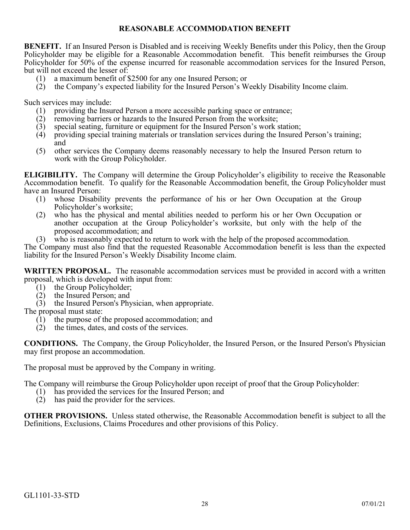## **REASONABLE ACCOMMODATION BENEFIT**

<span id="page-36-0"></span>**BENEFIT.** If an Insured Person is Disabled and is receiving Weekly Benefits under this Policy, then the Group Policyholder may be eligible for a Reasonable Accommodation benefit. This benefit reimburses the Group Policyholder for 50% of the expense incurred for reasonable accommodation services for the Insured Person, but will not exceed the lesser of:

- (1) a maximum benefit of \$2500 for any one Insured Person; or
- (2) the Company's expected liability for the Insured Person's Weekly Disability Income claim.

Such services may include:

- (1) providing the Insured Person a more accessible parking space or entrance;
- (2) removing barriers or hazards to the Insured Person from the worksite;
- (3) special seating, furniture or equipment for the Insured Person's work station;
- (4) providing special training materials or translation services during the Insured Person's training; and
- (5) other services the Company deems reasonably necessary to help the Insured Person return to work with the Group Policyholder.

**ELIGIBILITY.** The Company will determine the Group Policyholder's eligibility to receive the Reasonable Accommodation benefit. To qualify for the Reasonable Accommodation benefit, the Group Policyholder must have an Insured Person:

- (1) whose Disability prevents the performance of his or her Own Occupation at the Group Policyholder's worksite;
- (2) who has the physical and mental abilities needed to perform his or her Own Occupation or another occupation at the Group Policyholder's worksite, but only with the help of the proposed accommodation; and
- (3) who is reasonably expected to return to work with the help of the proposed accommodation.

The Company must also find that the requested Reasonable Accommodation benefit is less than the expected liability for the Insured Person's Weekly Disability Income claim.

**WRITTEN PROPOSAL.** The reasonable accommodation services must be provided in accord with a written proposal, which is developed with input from:

- (1) the Group Policyholder;<br>(2) the Insured Person; and
- the Insured Person; and
- (3) the Insured Person's Physician, when appropriate.

The proposal must state:

- (1) the purpose of the proposed accommodation; and  $(2)$  the times, dates, and costs of the services.
- the times, dates, and costs of the services.

**CONDITIONS.** The Company, the Group Policyholder, the Insured Person, or the Insured Person's Physician may first propose an accommodation.

The proposal must be approved by the Company in writing.

The Company will reimburse the Group Policyholder upon receipt of proof that the Group Policyholder:

- (1) has provided the services for the Insured Person; and
- (2) has paid the provider for the services.

**OTHER PROVISIONS.** Unless stated otherwise, the Reasonable Accommodation benefit is subject to all the Definitions, Exclusions, Claims Procedures and other provisions of this Policy.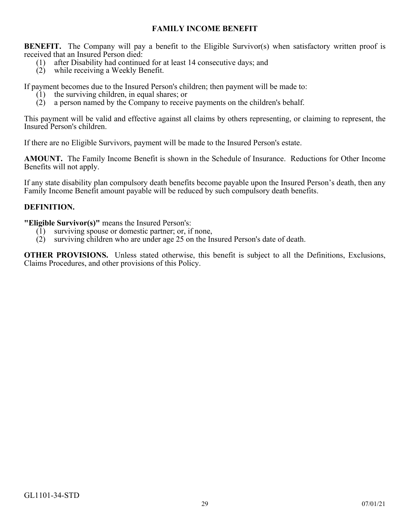## **FAMILY INCOME BENEFIT**

<span id="page-37-0"></span>**BENEFIT.** The Company will pay a benefit to the Eligible Survivor(s) when satisfactory written proof is received that an Insured Person died:

- (1) after Disability had continued for at least 14 consecutive days; and
- (2) while receiving a Weekly Benefit.

If payment becomes due to the Insured Person's children; then payment will be made to:

- (1) the surviving children, in equal shares; or
- (2) a person named by the Company to receive payments on the children's behalf.

This payment will be valid and effective against all claims by others representing, or claiming to represent, the Insured Person's children.

If there are no Eligible Survivors, payment will be made to the Insured Person's estate.

**AMOUNT.** The Family Income Benefit is shown in the Schedule of Insurance. Reductions for Other Income Benefits will not apply.

If any state disability plan compulsory death benefits become payable upon the Insured Person's death, then any Family Income Benefit amount payable will be reduced by such compulsory death benefits.

## **DEFINITION.**

**"Eligible Survivor(s)"** means the Insured Person's:

- (1) surviving spouse or domestic partner; or, if none,
- (2) surviving children who are under age 25 on the Insured Person's date of death.

**OTHER PROVISIONS.** Unless stated otherwise, this benefit is subject to all the Definitions, Exclusions, Claims Procedures, and other provisions of this Policy.